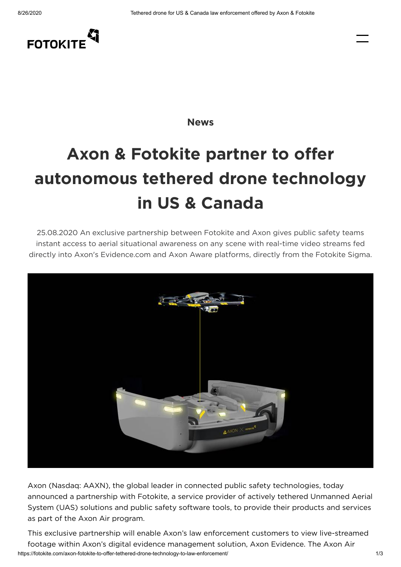

**[News](https://fotokite.com/news/)**

## **Axon & Fotokite partner to offer autonomous tethered drone technology in US & Canada**

25.08.2020 An exclusive partnership between Fotokite and Axon gives public safety teams instant access to aerial situational awareness on any scene with real-time video streams fed directly into Axon's Evidence.com and Axon Aware platforms, directly from the Fotokite Sigma.



Axon (Nasdaq: AAXN), the global leader in connected public safety technologies, today announced a partnership with Fotokite, a service provider of actively tethered Unmanned Aerial System (UAS) solutions and public safety software tools, to provide their products and services as part of the Axon Air program.

https://fotokite.com/axon-fotokite-to-offer-tethered-drone-technology-to-law-enforcement/ 1/3 This exclusive partnership will enable Axon's law enforcement customers to view live-streamed footage within Axon's digital evidence management solution, Axon Evidence. The Axon Air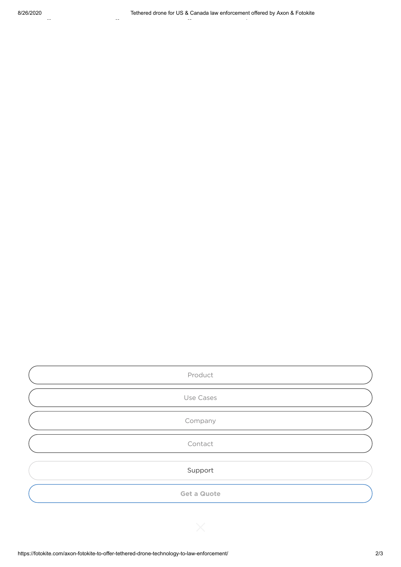| Product            |
|--------------------|
| Use Cases          |
| Company            |
| Contact            |
| Support            |
| <b>Get a Quote</b> |

McCall. "Whether the use case is traffic control, vehicular accident scene management, search